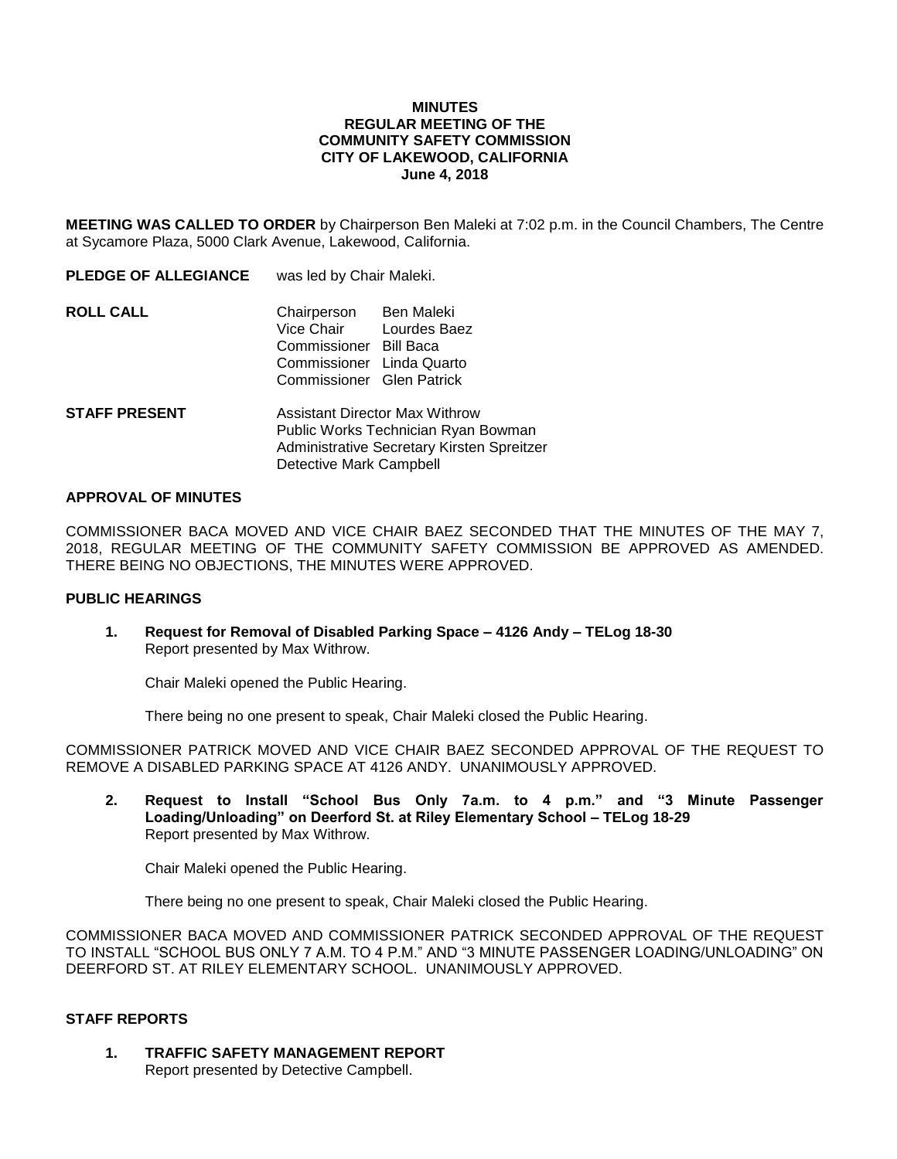## **MINUTES REGULAR MEETING OF THE COMMUNITY SAFETY COMMISSION CITY OF LAKEWOOD, CALIFORNIA June 4, 2018**

**MEETING WAS CALLED TO ORDER** by Chairperson Ben Maleki at 7:02 p.m. in the Council Chambers, The Centre at Sycamore Plaza, 5000 Clark Avenue, Lakewood, California.

| <b>PLEDGE OF ALLEGIANCE</b> | was led by Chair Maleki.                                                                                                   |                                   |
|-----------------------------|----------------------------------------------------------------------------------------------------------------------------|-----------------------------------|
| <b>ROLL CALL</b>            | Chairperson<br>Vice Chair<br>Commissioner Bill Baca<br>Commissioner Linda Quarto<br>Commissioner Glen Patrick              | <b>Ben Maleki</b><br>Lourdes Baez |
| <b>STAFF PRESENT</b>        | <b>Assistant Director Max Withrow</b><br>Public Works Technician Ryan Bowman<br>Administrative Secretary Kirsten Spreitzer |                                   |

## **APPROVAL OF MINUTES**

COMMISSIONER BACA MOVED AND VICE CHAIR BAEZ SECONDED THAT THE MINUTES OF THE MAY 7, 2018, REGULAR MEETING OF THE COMMUNITY SAFETY COMMISSION BE APPROVED AS AMENDED. THERE BEING NO OBJECTIONS, THE MINUTES WERE APPROVED.

## **PUBLIC HEARINGS**

**1. Request for Removal of Disabled Parking Space – 4126 Andy – TELog 18-30** Report presented by Max Withrow.

Detective Mark Campbell

Chair Maleki opened the Public Hearing.

There being no one present to speak, Chair Maleki closed the Public Hearing.

COMMISSIONER PATRICK MOVED AND VICE CHAIR BAEZ SECONDED APPROVAL OF THE REQUEST TO REMOVE A DISABLED PARKING SPACE AT 4126 ANDY. UNANIMOUSLY APPROVED.

**2. Request to Install "School Bus Only 7a.m. to 4 p.m." and "3 Minute Passenger Loading/Unloading" on Deerford St. at Riley Elementary School – TELog 18-29** Report presented by Max Withrow.

Chair Maleki opened the Public Hearing.

There being no one present to speak, Chair Maleki closed the Public Hearing.

COMMISSIONER BACA MOVED AND COMMISSIONER PATRICK SECONDED APPROVAL OF THE REQUEST TO INSTALL "SCHOOL BUS ONLY 7 A.M. TO 4 P.M." AND "3 MINUTE PASSENGER LOADING/UNLOADING" ON DEERFORD ST. AT RILEY ELEMENTARY SCHOOL. UNANIMOUSLY APPROVED.

# **STAFF REPORTS**

**1. TRAFFIC SAFETY MANAGEMENT REPORT** Report presented by Detective Campbell.